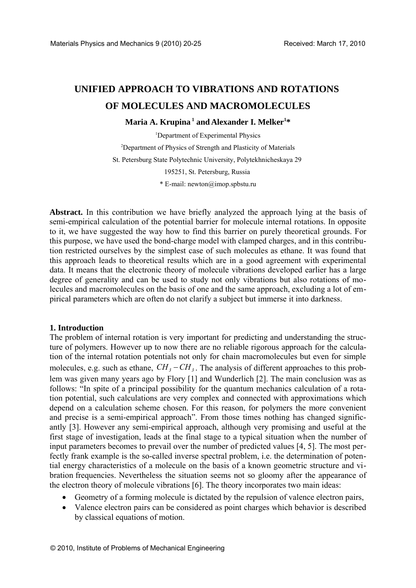# **UNIFIED APPROACH TO VIBRATIONS AND ROTATIONS OF MOLECULES AND MACROMOLECULES**

## **Maria A. Krupina 1 and Alexander I. Melker1 \***

<sup>1</sup>Department of Experimental Physics <sup>2</sup>Department of Physics of Strength and Plasticity of Materials St. Petersburg State Polytechnic University, Polytekhnicheskaya 29 195251, St. Petersburg, Russia \* E-mail: newton@imop.spbstu.ru

**Abstract.** In this contribution we have briefly analyzed the approach lying at the basis of semi-empirical calculation of the potential barrier for molecule internal rotations. In opposite to it, we have suggested the way how to find this barrier on purely theoretical grounds. For this purpose, we have used the bond-charge model with clamped charges, and in this contribution restricted ourselves by the simplest case of such molecules as ethane. It was found that this approach leads to theoretical results which are in a good agreement with experimental data. It means that the electronic theory of molecule vibrations developed earlier has a large degree of generality and can be used to study not only vibrations but also rotations of molecules and macromolecules on the basis of one and the same approach, excluding a lot of empirical parameters which are often do not clarify a subject but immerse it into darkness.

#### **1. Introduction**

The problem of internal rotation is very important for predicting and understanding the structure of polymers. However up to now there are no reliable rigorous approach for the calculation of the internal rotation potentials not only for chain macromolecules but even for simple molecules, e.g. such as ethane,  $CH_3 - CH_3$ . The analysis of different approaches to this problem was given many years ago by Flory [1] and Wunderlich [2]. The main conclusion was as follows: "In spite of a principal possibility for the quantum mechanics calculation of a rotation potential, such calculations are very complex and connected with approximations which depend on a calculation scheme chosen. For this reason, for polymers the more convenient and precise is a semi-empirical approach". From those times nothing has changed significantly [3]. However any semi-empirical approach, although very promising and useful at the first stage of investigation, leads at the final stage to a typical situation when the number of input parameters becomes to prevail over the number of predicted values [4, 5]. The most perfectly frank example is the so-called inverse spectral problem, i.e. the determination of potential energy characteristics of a molecule on the basis of a known geometric structure and vibration frequencies. Nevertheless the situation seems not so gloomy after the appearance of the electron theory of molecule vibrations [6]. The theory incorporates two main ideas: Materials Physics and Mechanics 9 (2010) 20-25 Received: March 17, 2010<br>
UNIFFED APPROACH TO VIBRATIONS AND ROTATIONS<br>
OF MOLECULES AND MACROMOLECULES<br>
Maria A. Kriginia <sup>a</sup> and Alexander 1. Metke<sup>++</sup><br>
Uspairing and Alexa

- Geometry of a forming molecule is dictated by the repulsion of valence electron pairs,
- Valence electron pairs can be considered as point charges which behavior is described by classical equations of motion.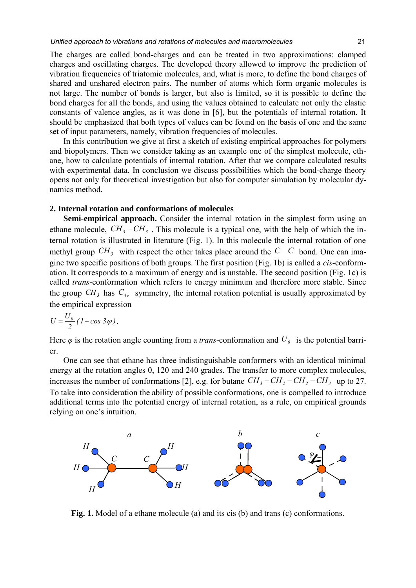The charges are called bond-charges and can be treated in two approximations: clamped charges and oscillating charges. The developed theory allowed to improve the prediction of vibration frequencies of triatomic molecules, and, what is more, to define the bond charges of shared and unshared electron pairs. The number of atoms which form organic molecules is not large. The number of bonds is larger, but also is limited, so it is possible to define the bond charges for all the bonds, and using the values obtained to calculate not only the elastic constants of valence angles, as it was done in [6], but the potentials of internal rotation. It should be emphasized that both types of values can be found on the basis of one and the same set of input parameters, namely, vibration frequencies of molecules.

In this contribution we give at first a sketch of existing empirical approaches for polymers and biopolymers. Then we consider taking as an example one of the simplest molecule, ethane, how to calculate potentials of internal rotation. After that we compare calculated results with experimental data. In conclusion we discuss possibilities which the bond-charge theory opens not only for theoretical investigation but also for computer simulation by molecular dynamics method.

#### **2. Internal rotation and conformations of molecules**

**Semi-empirical approach.** Consider the internal rotation in the simplest form using an ethane molecule,  $CH_3 - CH_3$ . This molecule is a typical one, with the help of which the internal rotation is illustrated in literature (Fig. 1). In this molecule the internal rotation of one methyl group  $CH_3$  with respect the other takes place around the  $C-C$  bond. One can imagine two specific positions of both groups. The first position (Fig. 1b) is called a *cis*-conformation. It corresponds to a maximum of energy and is unstable. The second position (Fig. 1c) is called *trans*-conformation which refers to energy minimum and therefore more stable. Since the group  $CH_3$  has  $C_{3y}$  symmetry, the internal rotation potential is usually approximated by the empirical expression

$$
U=\frac{U_{\theta}}{2}(1-\cos 3\varphi).
$$

Here  $\varphi$  is the rotation angle counting from a *trans*-conformation and  $U_{\varphi}$  is the potential barrier.

One can see that ethane has three indistinguishable conformers with an identical minimal energy at the rotation angles 0, 120 and 240 grades. The transfer to more complex molecules, increases the number of conformations [2], e.g. for butane  $CH_3 - CH_2 - CH_2 - CH_3$  up to 27. To take into consideration the ability of possible conformations, one is compelled to introduce additional terms into the potential energy of internal rotation, as a rule, on empirical grounds relying on one's intuition.



**Fig. 1.** Model of a ethane molecule (a) and its cis (b) and trans (c) conformations.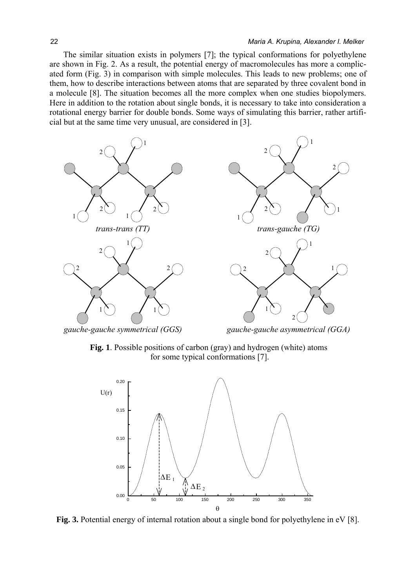The similar situation exists in polymers [7]; the typical conformations for polyethylene are shown in Fig. 2. As a result, the potential energy of macromolecules has more a complicated form (Fig. 3) in comparison with simple molecules. This leads to new problems; one of them, how to describe interactions between atoms that are separated by three covalent bond in a molecule [8]. The situation becomes all the more complex when one studies biopolymers. Here in addition to the rotation about single bonds, it is necessary to take into consideration a rotational energy barrier for double bonds. Some ways of simulating this barrier, rather artificial but at the same time very unusual, are considered in [3].



*gauche-gauche symmetrical (GGS) gauche-gauche asymmetrical (GGA)*

**Fig. 1**. Possible positions of carbon (gray) and hydrogen (white) atoms for some typical conformations [7].



Fig. 3. Potential energy of internal rotation about a single bond for polyethylene in eV [8].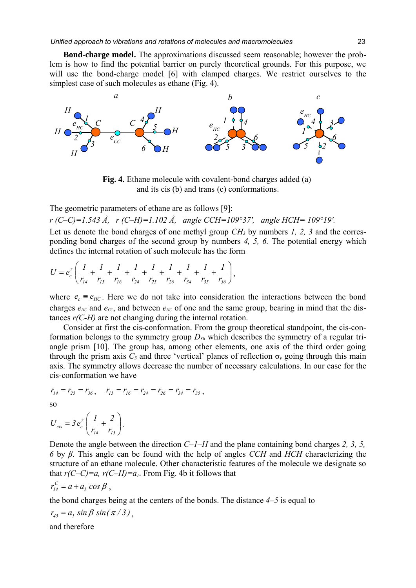**Bond-charge model.** The approximations discussed seem reasonable; however the problem is how to find the potential barrier on purely theoretical grounds. For this purpose, we will use the bond-charge model [6] with clamped charges. We restrict ourselves to the simplest case of such molecules as ethane (Fig. 4).



**Fig. 4.** Ethane molecule with covalent-bond charges added (a) and its cis (b) and trans (c) conformations.

The geometric parameters of ethane are as follows [9]:

*r (C–C)=1.543 Å, r (C–H)=1.102 Å, angle CCH=109°37′, angle HCH= 109°19′.*

Let us denote the bond charges of one methyl group *CH3* by numbers *1, 2, 3* and the corresponding bond charges of the second group by numbers *4, 5, 6.* The potential energy which defines the internal rotation of such molecule has the form

$$
U = e_c^2 \left( \frac{1}{r_{14}} + \frac{1}{r_{15}} + \frac{1}{r_{16}} + \frac{1}{r_{24}} + \frac{1}{r_{25}} + \frac{1}{r_{26}} + \frac{1}{r_{34}} + \frac{1}{r_{35}} + \frac{1}{r_{36}} \right),\,
$$

where  $e_c \equiv e_{HC}$ . Here we do not take into consideration the interactions between the bond charges  $e_{HC}$  and  $e_{CC}$ , and between  $e_{HC}$  of one and the same group, bearing in mind that the distances *r(C-H)* are not changing during the internal rotation.

Consider at first the cis-conformation. From the group theoretical standpoint, the cis-conformation belongs to the symmetry group *D3h* which describes the symmetry of a regular triangle prism [10]. The group has, among other elements, one axis of the third order going through the prism axis  $C_3$  and three 'vertical' planes of reflection  $\sigma_\nu$  going through this main axis. The symmetry allows decrease the number of necessary calculations. In our case for the cis-conformation we have

$$
r_{14} = r_{25} = r_{36}, \quad r_{15} = r_{16} = r_{24} = r_{26} = r_{34} = r_{35},
$$

$$
\overline{\text{SO}}
$$

$$
U_{cis} = 3 e_c^2 \left( \frac{I}{r_{14}} + \frac{2}{r_{15}} \right).
$$

Denote the angle between the direction *C–1–H* and the plane containing bond charges *2, 3, 5, 6* by *β*. This angle can be found with the help of angles *CCH* and *HCH* characterizing the structure of an ethane molecule. Other characteristic features of the molecule we designate so that  $r(C-C)=a$ ,  $r(C-H)=a<sub>1</sub>$ . From Fig. 4b it follows that

$$
r_{14}^C = a + a_1 \cos \beta,
$$

the bond charges being at the centers of the bonds. The distance *4–5* is equal to

$$
r_{45}=a_1\,\sin\beta\,\sin(\pi/3)\,,
$$

and therefore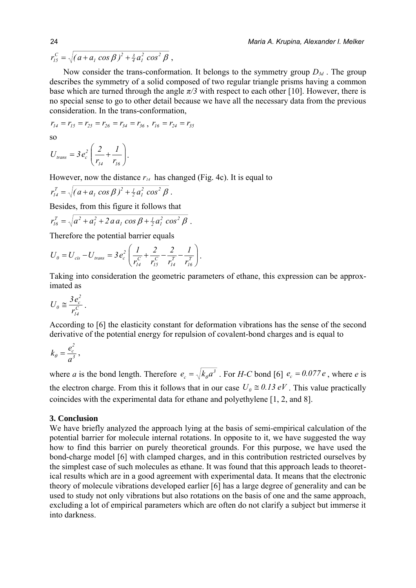$\int_{I}^{I} \cos \beta f^{2} + \frac{3}{4} a_{I}^{2} \cos^{2} \beta f$  $r_{15}^C = \sqrt{(a + a_1 \cos \beta)^2 + \frac{3}{4} a_1^2 \cos^2 \beta}$ 

Now consider the trans-conformation. It belongs to the symmetry group  $D_{3d}$ . The group describes the symmetry of a solid composed of two regular triangle prisms having a common base which are turned through the angle  $\pi/3$  with respect to each other [10]. However, there is no special sense to go to other detail because we have all the necessary data from the previous consideration. In the trans-conformation,

$$
r_{14} = r_{15} = r_{25} = r_{26} = r_{34} = r_{36}, r_{16} = r_{24} = r_{35}
$$
  
so  

$$
U_{trans} = 3 e_c^2 \left(\frac{2}{r_{14}} + \frac{1}{r_{16}}\right).
$$

However, now the distance  $r_{14}$  has changed (Fig. 4c). It is equal to

$$
r_{14}^T = \sqrt{(a + a_1 \cos \beta)^2 + \frac{1}{2} a_1^2 \cos^2 \beta}.
$$

*1614*

⎝

Besides, from this figure it follows that

$$
r_{16}^T = \sqrt{a^2 + a_1^2 + 2 a a_1 \cos \beta + \frac{1}{2} a_1^2 \cos^2 \beta}.
$$

Therefore the potential barrier equals

$$
U_0 = U_{cis} - U_{trans} = 3 e_c^2 \left( \frac{1}{r_{14}^C} + \frac{2}{r_{15}^C} - \frac{2}{r_{14}^T} - \frac{1}{r_{16}^T} \right).
$$

Taking into consideration the geometric parameters of ethane, this expression can be approximated as

$$
U_0 \cong \frac{3e_c^2}{r_{14}^C}.
$$

According to [6] the elasticity constant for deformation vibrations has the sense of the second derivative of the potential energy for repulsion of covalent-bond charges and is equal to

$$
k_{\theta}=\frac{e_c^2}{a^3}\,,
$$

where *a* is the bond length. Therefore  $e_c = \sqrt{k_\theta a^3}$ . For *H-C* bond [6]  $e_c = 0.077e$ , where *e* is the electron charge. From this it follows that in our case  $U_0 \cong 0.13 \text{ eV}$ . This value practically coincides with the experimental data for ethane and polyethylene [1, 2, and 8].

### **3. Conclusion**

We have briefly analyzed the approach lying at the basis of semi-empirical calculation of the potential barrier for molecule internal rotations. In opposite to it, we have suggested the way how to find this barrier on purely theoretical grounds. For this purpose, we have used the bond-charge model [6] with clamped charges, and in this contribution restricted ourselves by the simplest case of such molecules as ethane. It was found that this approach leads to theoretical results which are in a good agreement with experimental data. It means that the electronic theory of molecule vibrations developed earlier [6] has a large degree of generality and can be used to study not only vibrations but also rotations on the basis of one and the same approach, excluding a lot of empirical parameters which are often do not clarify a subject but immerse it into darkness.